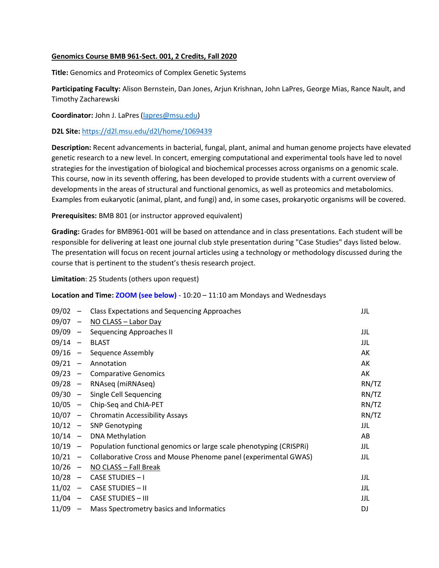## Genomics Course BMB 961-Sect. 001, 2 Credits, Fall 2020

Title: Genomics and Proteomics of Complex Genetic Systems

Participating Faculty: Alison Bernstein, Dan Jones, Arjun Krishnan, John LaPres, George Mias, Rance Nault, and Timothy Zacharewski

Coordinator: John J. LaPres (lapres@msu.edu)

D2L Site: https://d2l.msu.edu/d2l/home/1069439

Description: Recent advancements in bacterial, fungal, plant, animal and human genome projects have elevated genetic research to a new level. In concert, emerging computational and experimental tools have led to novel strategies for the investigation of biological and biochemical processes across organisms on a genomic scale. This course, now in its seventh offering, has been developed to provide students with a current overview of developments in the areas of structural and functional genomics, as well as proteomics and metabolomics. Examples from eukaryotic (animal, plant, and fungi) and, in some cases, prokaryotic organisms will be covered.

Prerequisites: BMB 801 (or instructor approved equivalent)

Grading: Grades for BMB961-001 will be based on attendance and in class presentations. Each student will be responsible for delivering at least one journal club style presentation during "Case Studies" days listed below. The presentation will focus on recent journal articles using a technology or methodology discussed during the course that is pertinent to the student's thesis research project.

Limitation: 25 Students (others upon request)

## Location and Time:  $ZOOM$  (see below) - 10:20 – 11:10 am Mondays and Wednesdays

| 09/02     | $\overline{\phantom{a}}$ | <b>Class Expectations and Sequencing Approaches</b>                 | JJL   |
|-----------|--------------------------|---------------------------------------------------------------------|-------|
| 09/07     | $\overline{\phantom{a}}$ | NO CLASS - Labor Day                                                |       |
| 09/09     | $\sim$                   | <b>Sequencing Approaches II</b>                                     | JJL   |
| 09/14     | $\overline{\phantom{m}}$ | <b>BLAST</b>                                                        | JJL   |
| $09/16$ - |                          | Sequence Assembly                                                   | AK    |
| $09/21 -$ |                          | Annotation                                                          | AK    |
| $09/23 -$ |                          | <b>Comparative Genomics</b>                                         | AK    |
| $09/28 -$ |                          | RNAseq (miRNAseq)                                                   | RN/TZ |
| $09/30 -$ |                          | Single Cell Sequencing                                              | RN/TZ |
| $10/05 -$ |                          | Chip-Seq and ChIA-PET                                               | RN/TZ |
| $10/07 -$ |                          | <b>Chromatin Accessibility Assays</b>                               | RN/TZ |
| $10/12 -$ |                          | <b>SNP Genotyping</b>                                               | JJL   |
| $10/14 -$ |                          | <b>DNA Methylation</b>                                              | AB    |
| $10/19 -$ |                          | Population functional genomics or large scale phenotyping (CRISPRi) | JJL   |
| $10/21 -$ |                          | Collaborative Cross and Mouse Phenome panel (experimental GWAS)     | JJL   |
| $10/26 -$ |                          | NO CLASS - Fall Break                                               |       |
| 10/28     | $\overline{\phantom{m}}$ | CASE STUDIES - I                                                    | JJL   |
| $11/02 -$ |                          | <b>CASE STUDIES - II</b>                                            | JJL   |
| $11/04 -$ |                          | <b>CASE STUDIES - III</b>                                           | JJL   |
| $11/09 -$ |                          | Mass Spectrometry basics and Informatics                            | DJ    |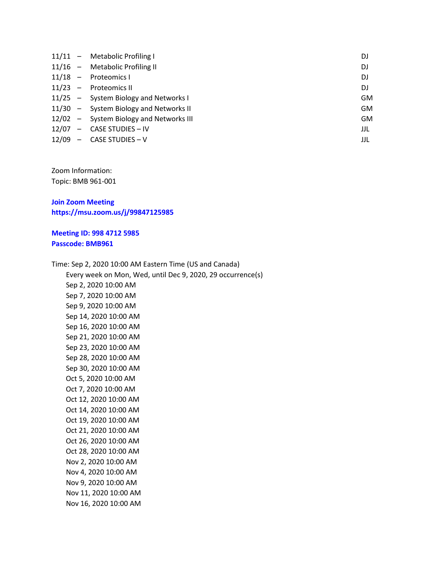|  | 11/11 - Metabolic Profiling I           | DJ        |
|--|-----------------------------------------|-----------|
|  | 11/16 - Metabolic Profiling II          | DJ        |
|  | 11/18 - Proteomics I                    | DJ        |
|  | 11/23 - Proteomics II                   | DJ        |
|  | 11/25 - System Biology and Networks I   | <b>GM</b> |
|  | 11/30 - System Biology and Networks II  | <b>GM</b> |
|  | 12/02 - System Biology and Networks III | GM        |
|  | 12/07 - CASE STUDIES - IV               | JJL       |
|  | $12/09$ – CASE STUDIES – V              | JJL       |

Zoom Information: Topic: BMB 961-001

Join Zoom Meeting https://msu.zoom.us/j/99847125985

## Meeting ID: 998 4712 5985 Passcode: BMB961

Time: Sep 2, 2020 10:00 AM Eastern Time (US and Canada) Every week on Mon, Wed, until Dec 9, 2020, 29 occurrence(s) Sep 2, 2020 10:00 AM Sep 7, 2020 10:00 AM Sep 9, 2020 10:00 AM Sep 14, 2020 10:00 AM Sep 16, 2020 10:00 AM Sep 21, 2020 10:00 AM Sep 23, 2020 10:00 AM Sep 28, 2020 10:00 AM Sep 30, 2020 10:00 AM Oct 5, 2020 10:00 AM Oct 7, 2020 10:00 AM Oct 12, 2020 10:00 AM Oct 14, 2020 10:00 AM Oct 19, 2020 10:00 AM Oct 21, 2020 10:00 AM Oct 26, 2020 10:00 AM Oct 28, 2020 10:00 AM Nov 2, 2020 10:00 AM Nov 4, 2020 10:00 AM Nov 9, 2020 10:00 AM Nov 11, 2020 10:00 AM Nov 16, 2020 10:00 AM